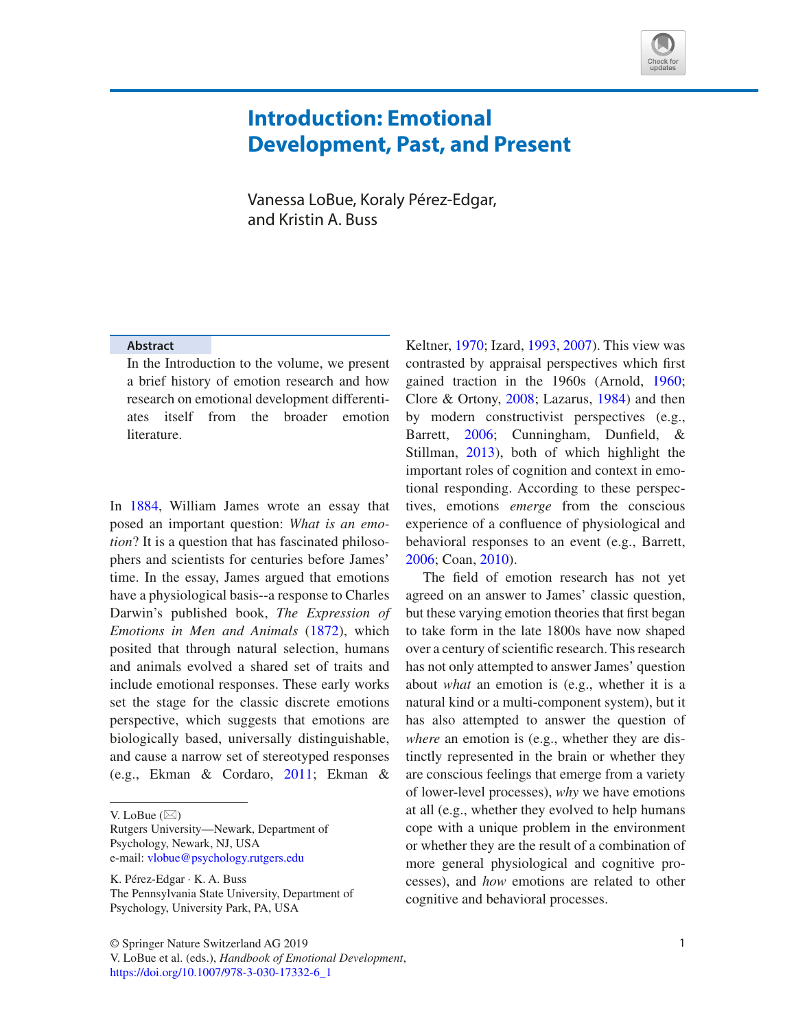

## **Introduction: Emotional Development, Past, and Present**

Vanessa LoBue, Koraly Pérez-Edgar, and Kristin A. Buss

## **Abstract**

In the Introduction to the volume, we present a brief history of emotion research and how research on emotional development differentiates itself from the broader emotion literature.

In 1884, William James wrote an essay that posed an important question: *What is an emotion*? It is a question that has fascinated philosophers and scientists for centuries before James' time. In the essay, James argued that emotions have a physiological basis--a response to Charles Darwin's published book, *The Expression of Emotions in Men and Animals* (1872), which posited that through natural selection, humans and animals evolved a shared set of traits and include emotional responses. These early works set the stage for the classic discrete emotions perspective, which suggests that emotions are biologically based, universally distinguishable, and cause a narrow set of stereotyped responses (e.g., Ekman & Cordaro, 2011; Ekman &

Rutgers University—Newark, Department of Psychology, Newark, NJ, USA e-mail: vlobue@psychology.rutgers.edu

K. Pérez-Edgar · K. A. Buss The Pennsylvania State University, Department of Psychology, University Park, PA, USA

© Springer Nature Switzerland AG 2019 1 V. LoBue et al. (eds.), *Handbook of Emotional Development*, https://doi.org/10.1007/978-3-030-17332-6\_1

Keltner, 1970; Izard, 1993, 2007). This view was contrasted by appraisal perspectives which frst gained traction in the 1960s (Arnold, 1960; Clore & Ortony, 2008; Lazarus, 1984) and then by modern constructivist perspectives (e.g., Barrett, 2006; Cunningham, Dunfeld, & Stillman, 2013), both of which highlight the important roles of cognition and context in emotional responding. According to these perspectives, emotions *emerge* from the conscious experience of a confuence of physiological and behavioral responses to an event (e.g., Barrett, 2006; Coan, 2010).

The feld of emotion research has not yet agreed on an answer to James' classic question, but these varying emotion theories that frst began to take form in the late 1800s have now shaped over a century of scientifc research. This research has not only attempted to answer James' question about *what* an emotion is (e.g., whether it is a natural kind or a multi-component system), but it has also attempted to answer the question of *where* an emotion is (e.g., whether they are distinctly represented in the brain or whether they are conscious feelings that emerge from a variety of lower-level processes), *why* we have emotions at all (e.g., whether they evolved to help humans cope with a unique problem in the environment or whether they are the result of a combination of more general physiological and cognitive processes), and *how* emotions are related to other cognitive and behavioral processes.

V. LoBue  $(\boxtimes)$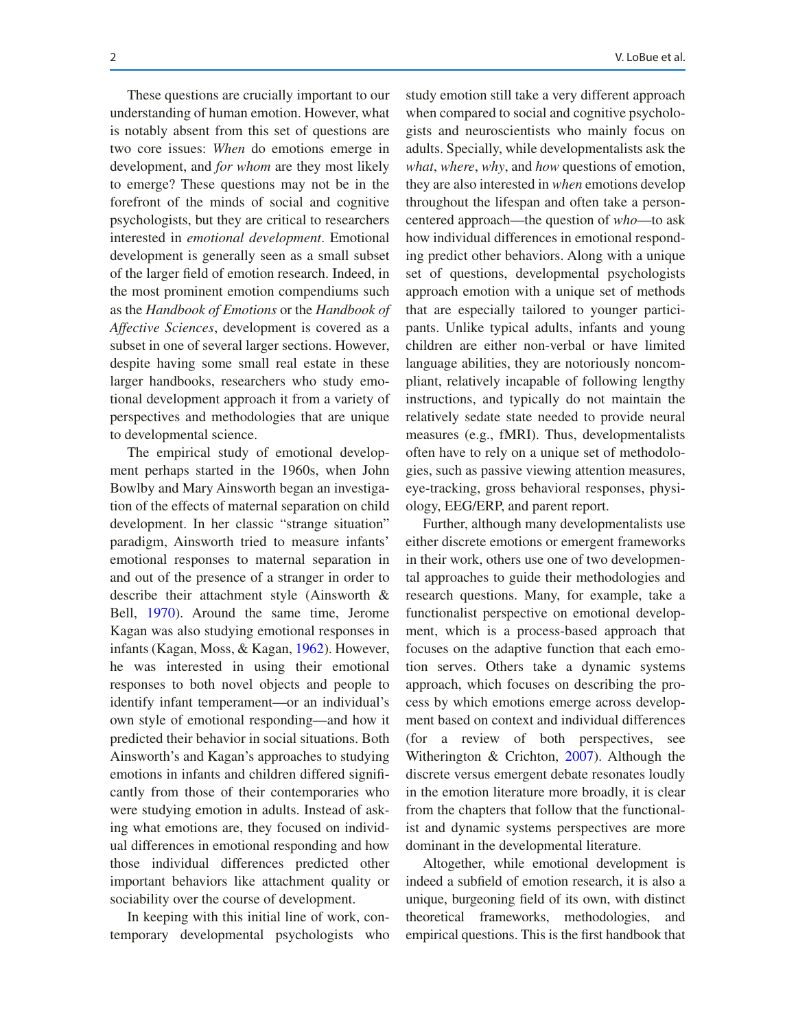These questions are crucially important to our understanding of human emotion. However, what is notably absent from this set of questions are two core issues: *When* do emotions emerge in development, and *for whom* are they most likely to emerge? These questions may not be in the forefront of the minds of social and cognitive psychologists, but they are critical to researchers interested in *emotional development*. Emotional development is generally seen as a small subset of the larger feld of emotion research. Indeed, in the most prominent emotion compendiums such as the *Handbook of Emotions* or the *Handbook of Affective Sciences*, development is covered as a subset in one of several larger sections. However, despite having some small real estate in these larger handbooks, researchers who study emotional development approach it from a variety of perspectives and methodologies that are unique to developmental science.

The empirical study of emotional development perhaps started in the 1960s, when John Bowlby and Mary Ainsworth began an investigation of the effects of maternal separation on child development. In her classic "strange situation" paradigm, Ainsworth tried to measure infants' emotional responses to maternal separation in and out of the presence of a stranger in order to describe their attachment style (Ainsworth & Bell, 1970). Around the same time, Jerome Kagan was also studying emotional responses in infants (Kagan, Moss, & Kagan, 1962). However, he was interested in using their emotional responses to both novel objects and people to identify infant temperament—or an individual's own style of emotional responding—and how it predicted their behavior in social situations. Both Ainsworth's and Kagan's approaches to studying emotions in infants and children differed signifcantly from those of their contemporaries who were studying emotion in adults. Instead of asking what emotions are, they focused on individual differences in emotional responding and how those individual differences predicted other important behaviors like attachment quality or sociability over the course of development.

In keeping with this initial line of work, contemporary developmental psychologists who

study emotion still take a very different approach when compared to social and cognitive psychologists and neuroscientists who mainly focus on adults. Specially, while developmentalists ask the *what*, *where*, *why*, and *how* questions of emotion, they are also interested in *when* emotions develop throughout the lifespan and often take a personcentered approach—the question of *who*—to ask how individual differences in emotional responding predict other behaviors. Along with a unique set of questions, developmental psychologists approach emotion with a unique set of methods that are especially tailored to younger participants. Unlike typical adults, infants and young children are either non-verbal or have limited language abilities, they are notoriously noncompliant, relatively incapable of following lengthy instructions, and typically do not maintain the relatively sedate state needed to provide neural measures (e.g., fMRI). Thus, developmentalists often have to rely on a unique set of methodologies, such as passive viewing attention measures, eye-tracking, gross behavioral responses, physiology, EEG/ERP, and parent report.

Further, although many developmentalists use either discrete emotions or emergent frameworks in their work, others use one of two developmental approaches to guide their methodologies and research questions. Many, for example, take a functionalist perspective on emotional development, which is a process-based approach that focuses on the adaptive function that each emotion serves. Others take a dynamic systems approach, which focuses on describing the process by which emotions emerge across development based on context and individual differences (for a review of both perspectives, see Witherington & Crichton, 2007). Although the discrete versus emergent debate resonates loudly in the emotion literature more broadly, it is clear from the chapters that follow that the functionalist and dynamic systems perspectives are more dominant in the developmental literature.

Altogether, while emotional development is indeed a subfeld of emotion research, it is also a unique, burgeoning feld of its own, with distinct theoretical frameworks, methodologies, and empirical questions. This is the frst handbook that